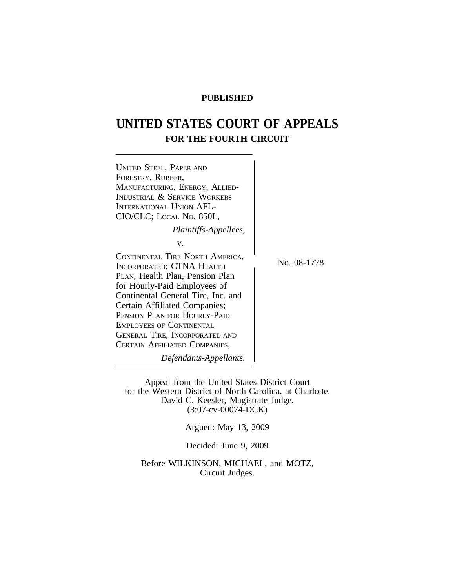## **PUBLISHED**

# **UNITED STATES COURT OF APPEALS FOR THE FOURTH CIRCUIT**



Appeal from the United States District Court for the Western District of North Carolina, at Charlotte. David C. Keesler, Magistrate Judge. (3:07-cv-00074-DCK)

Argued: May 13, 2009

Decided: June 9, 2009

Before WILKINSON, MICHAEL, and MOTZ, Circuit Judges.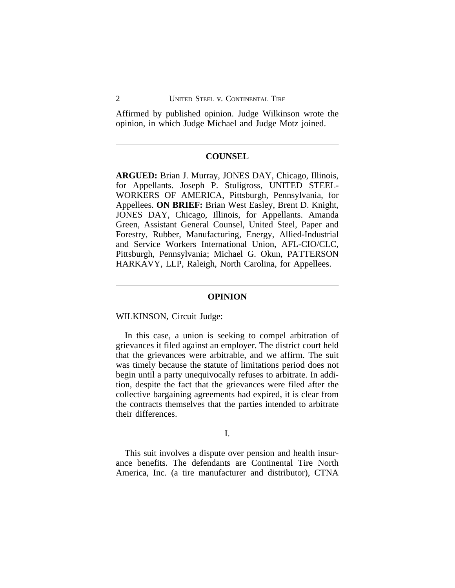Affirmed by published opinion. Judge Wilkinson wrote the opinion, in which Judge Michael and Judge Motz joined.

## **COUNSEL**

**ARGUED:** Brian J. Murray, JONES DAY, Chicago, Illinois, for Appellants. Joseph P. Stuligross, UNITED STEEL-WORKERS OF AMERICA, Pittsburgh, Pennsylvania, for Appellees. **ON BRIEF:** Brian West Easley, Brent D. Knight, JONES DAY, Chicago, Illinois, for Appellants. Amanda Green, Assistant General Counsel, United Steel, Paper and Forestry, Rubber, Manufacturing, Energy, Allied-Industrial and Service Workers International Union, AFL-CIO/CLC, Pittsburgh, Pennsylvania; Michael G. Okun, PATTERSON HARKAVY, LLP, Raleigh, North Carolina, for Appellees.

#### **OPINION**

#### WILKINSON, Circuit Judge:

In this case, a union is seeking to compel arbitration of grievances it filed against an employer. The district court held that the grievances were arbitrable, and we affirm. The suit was timely because the statute of limitations period does not begin until a party unequivocally refuses to arbitrate. In addition, despite the fact that the grievances were filed after the collective bargaining agreements had expired, it is clear from the contracts themselves that the parties intended to arbitrate their differences.

#### I.

This suit involves a dispute over pension and health insurance benefits. The defendants are Continental Tire North America, Inc. (a tire manufacturer and distributor), CTNA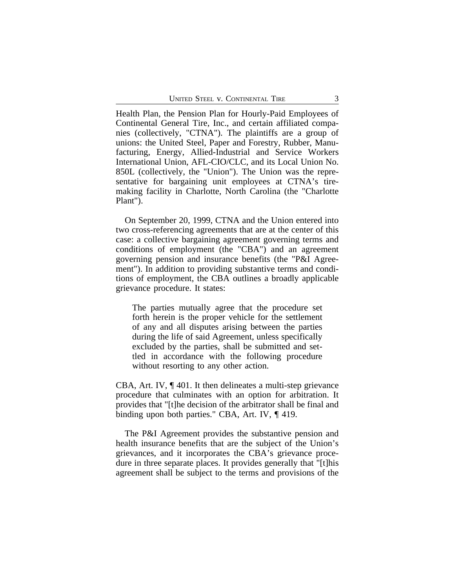Health Plan, the Pension Plan for Hourly-Paid Employees of Continental General Tire, Inc., and certain affiliated companies (collectively, "CTNA"). The plaintiffs are a group of unions: the United Steel, Paper and Forestry, Rubber, Manufacturing, Energy, Allied-Industrial and Service Workers International Union, AFL-CIO/CLC, and its Local Union No. 850L (collectively, the "Union"). The Union was the representative for bargaining unit employees at CTNA's tiremaking facility in Charlotte, North Carolina (the "Charlotte Plant").

On September 20, 1999, CTNA and the Union entered into two cross-referencing agreements that are at the center of this case: a collective bargaining agreement governing terms and conditions of employment (the "CBA") and an agreement governing pension and insurance benefits (the "P&I Agreement"). In addition to providing substantive terms and conditions of employment, the CBA outlines a broadly applicable grievance procedure. It states:

The parties mutually agree that the procedure set forth herein is the proper vehicle for the settlement of any and all disputes arising between the parties during the life of said Agreement, unless specifically excluded by the parties, shall be submitted and settled in accordance with the following procedure without resorting to any other action.

CBA, Art. IV, ¶ 401. It then delineates a multi-step grievance procedure that culminates with an option for arbitration. It provides that "[t]he decision of the arbitrator shall be final and binding upon both parties." CBA, Art. IV, ¶ 419.

The P&I Agreement provides the substantive pension and health insurance benefits that are the subject of the Union's grievances, and it incorporates the CBA's grievance procedure in three separate places. It provides generally that "[t]his agreement shall be subject to the terms and provisions of the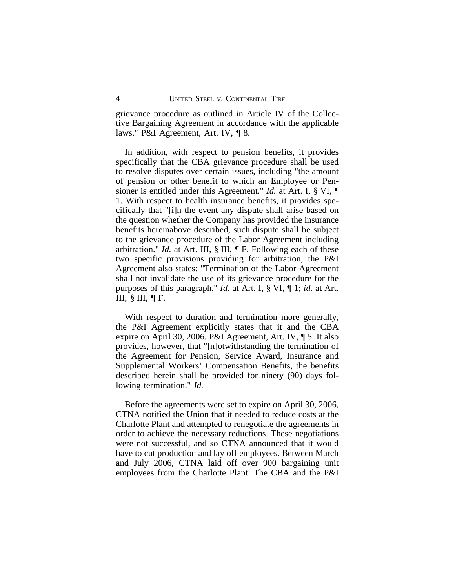grievance procedure as outlined in Article IV of the Collective Bargaining Agreement in accordance with the applicable laws." P&I Agreement, Art. IV, ¶ 8.

In addition, with respect to pension benefits, it provides specifically that the CBA grievance procedure shall be used to resolve disputes over certain issues, including "the amount of pension or other benefit to which an Employee or Pensioner is entitled under this Agreement." *Id.* at Art. I, § VI, ¶ 1. With respect to health insurance benefits, it provides specifically that "[i]n the event any dispute shall arise based on the question whether the Company has provided the insurance benefits hereinabove described, such dispute shall be subject to the grievance procedure of the Labor Agreement including arbitration." *Id.* at Art. III, § III, ¶ F. Following each of these two specific provisions providing for arbitration, the P&I Agreement also states: "Termination of the Labor Agreement shall not invalidate the use of its grievance procedure for the purposes of this paragraph." *Id.* at Art. I, § VI, ¶ 1; *id.* at Art. III,  $\S$  III,  $\P$  F.

With respect to duration and termination more generally, the P&I Agreement explicitly states that it and the CBA expire on April 30, 2006. P&I Agreement, Art. IV, ¶ 5. It also provides, however, that "[n]otwithstanding the termination of the Agreement for Pension, Service Award, Insurance and Supplemental Workers' Compensation Benefits, the benefits described herein shall be provided for ninety (90) days following termination." *Id.*

Before the agreements were set to expire on April 30, 2006, CTNA notified the Union that it needed to reduce costs at the Charlotte Plant and attempted to renegotiate the agreements in order to achieve the necessary reductions. These negotiations were not successful, and so CTNA announced that it would have to cut production and lay off employees. Between March and July 2006, CTNA laid off over 900 bargaining unit employees from the Charlotte Plant. The CBA and the P&I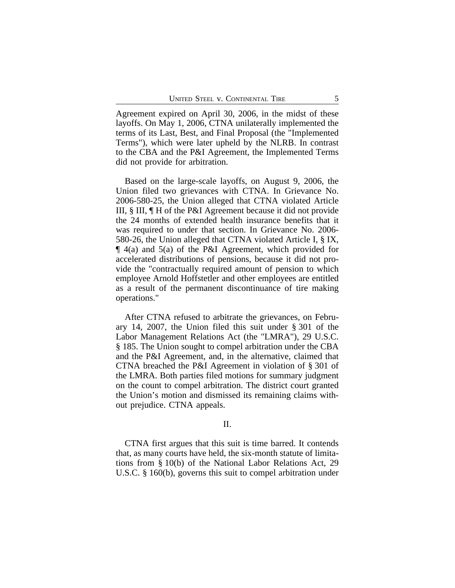Agreement expired on April 30, 2006, in the midst of these layoffs. On May 1, 2006, CTNA unilaterally implemented the terms of its Last, Best, and Final Proposal (the "Implemented Terms"), which were later upheld by the NLRB. In contrast to the CBA and the P&I Agreement, the Implemented Terms did not provide for arbitration.

Based on the large-scale layoffs, on August 9, 2006, the Union filed two grievances with CTNA. In Grievance No. 2006-580-25, the Union alleged that CTNA violated Article III, § III, ¶ H of the P&I Agreement because it did not provide the 24 months of extended health insurance benefits that it was required to under that section. In Grievance No. 2006- 580-26, the Union alleged that CTNA violated Article I, § IX, ¶ 4(a) and 5(a) of the P&I Agreement, which provided for accelerated distributions of pensions, because it did not provide the "contractually required amount of pension to which employee Arnold Hoffstetler and other employees are entitled as a result of the permanent discontinuance of tire making operations."

After CTNA refused to arbitrate the grievances, on February 14, 2007, the Union filed this suit under § 301 of the Labor Management Relations Act (the "LMRA"), 29 U.S.C. § 185. The Union sought to compel arbitration under the CBA and the P&I Agreement, and, in the alternative, claimed that CTNA breached the P&I Agreement in violation of § 301 of the LMRA. Both parties filed motions for summary judgment on the count to compel arbitration. The district court granted the Union's motion and dismissed its remaining claims without prejudice. CTNA appeals.

## II.

CTNA first argues that this suit is time barred. It contends that, as many courts have held, the six-month statute of limitations from § 10(b) of the National Labor Relations Act, 29 U.S.C. § 160(b), governs this suit to compel arbitration under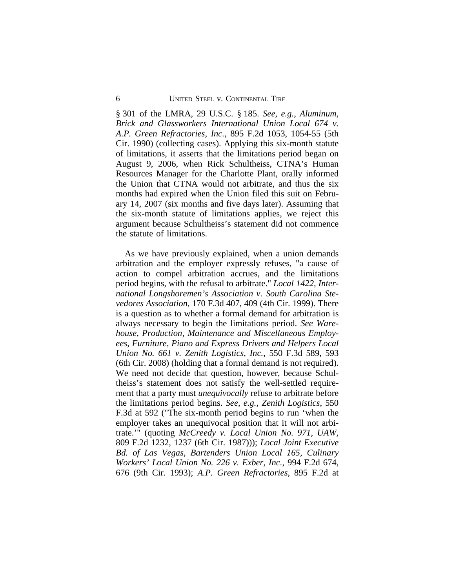§ 301 of the LMRA, 29 U.S.C. § 185. *See, e.g.*, *Aluminum, Brick and Glassworkers International Union Local 674 v. A.P. Green Refractories, Inc.*, 895 F.2d 1053, 1054-55 (5th Cir. 1990) (collecting cases). Applying this six-month statute of limitations, it asserts that the limitations period began on August 9, 2006, when Rick Schultheiss, CTNA's Human Resources Manager for the Charlotte Plant, orally informed the Union that CTNA would not arbitrate, and thus the six months had expired when the Union filed this suit on February 14, 2007 (six months and five days later). Assuming that the six-month statute of limitations applies, we reject this argument because Schultheiss's statement did not commence the statute of limitations.

As we have previously explained, when a union demands arbitration and the employer expressly refuses, "a cause of action to compel arbitration accrues, and the limitations period begins, with the refusal to arbitrate." *Local 1422, International Longshoremen's Association v. South Carolina Stevedores Association*, 170 F.3d 407, 409 (4th Cir. 1999). There is a question as to whether a formal demand for arbitration is always necessary to begin the limitations period. *See Warehouse, Production, Maintenance and Miscellaneous Employees, Furniture, Piano and Express Drivers and Helpers Local Union No. 661 v. Zenith Logistics, Inc.*, 550 F.3d 589, 593 (6th Cir. 2008) (holding that a formal demand is not required). We need not decide that question, however, because Schultheiss's statement does not satisfy the well-settled requirement that a party must *unequivocally* refuse to arbitrate before the limitations period begins. *See, e.g., Zenith Logistics*, 550 F.3d at 592 ("The six-month period begins to run 'when the employer takes an unequivocal position that it will not arbitrate.'" (quoting *McCreedy v. Local Union No. 971, UAW*, 809 F.2d 1232, 1237 (6th Cir. 1987))); *Local Joint Executive Bd. of Las Vegas, Bartenders Union Local 165, Culinary Workers' Local Union No. 226 v. Exber, Inc.*, 994 F.2d 674, 676 (9th Cir. 1993); *A.P. Green Refractories*, 895 F.2d at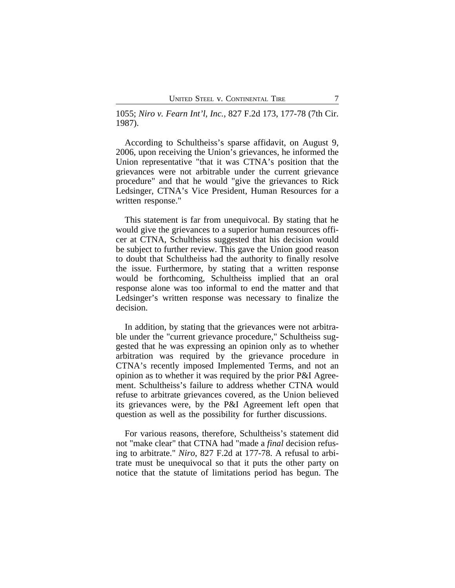1055; *Niro v. Fearn Int'l, Inc.*, 827 F.2d 173, 177-78 (7th Cir. 1987).

According to Schultheiss's sparse affidavit, on August 9, 2006, upon receiving the Union's grievances, he informed the Union representative "that it was CTNA's position that the grievances were not arbitrable under the current grievance procedure" and that he would "give the grievances to Rick Ledsinger, CTNA's Vice President, Human Resources for a written response."

This statement is far from unequivocal. By stating that he would give the grievances to a superior human resources officer at CTNA, Schultheiss suggested that his decision would be subject to further review. This gave the Union good reason to doubt that Schultheiss had the authority to finally resolve the issue. Furthermore, by stating that a written response would be forthcoming, Schultheiss implied that an oral response alone was too informal to end the matter and that Ledsinger's written response was necessary to finalize the decision.

In addition, by stating that the grievances were not arbitrable under the "current grievance procedure," Schultheiss suggested that he was expressing an opinion only as to whether arbitration was required by the grievance procedure in CTNA's recently imposed Implemented Terms, and not an opinion as to whether it was required by the prior P&I Agreement. Schultheiss's failure to address whether CTNA would refuse to arbitrate grievances covered, as the Union believed its grievances were, by the P&I Agreement left open that question as well as the possibility for further discussions.

For various reasons, therefore, Schultheiss's statement did not "make clear" that CTNA had "made a *final* decision refusing to arbitrate." *Niro*, 827 F.2d at 177-78. A refusal to arbitrate must be unequivocal so that it puts the other party on notice that the statute of limitations period has begun. The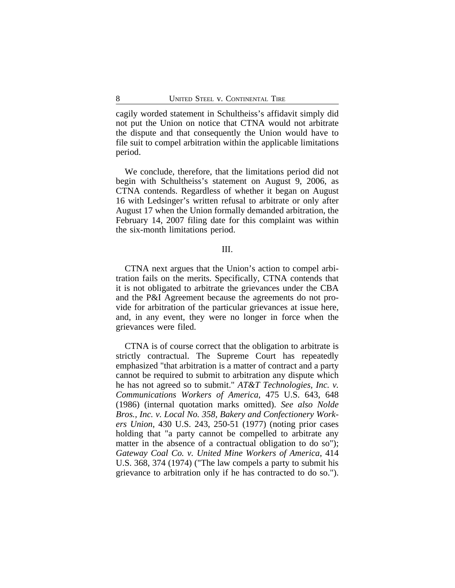cagily worded statement in Schultheiss's affidavit simply did not put the Union on notice that CTNA would not arbitrate the dispute and that consequently the Union would have to file suit to compel arbitration within the applicable limitations period.

We conclude, therefore, that the limitations period did not begin with Schultheiss's statement on August 9, 2006, as CTNA contends. Regardless of whether it began on August 16 with Ledsinger's written refusal to arbitrate or only after August 17 when the Union formally demanded arbitration, the February 14, 2007 filing date for this complaint was within the six-month limitations period.

#### III.

CTNA next argues that the Union's action to compel arbitration fails on the merits. Specifically, CTNA contends that it is not obligated to arbitrate the grievances under the CBA and the P&I Agreement because the agreements do not provide for arbitration of the particular grievances at issue here, and, in any event, they were no longer in force when the grievances were filed.

CTNA is of course correct that the obligation to arbitrate is strictly contractual. The Supreme Court has repeatedly emphasized "that arbitration is a matter of contract and a party cannot be required to submit to arbitration any dispute which he has not agreed so to submit." *AT&T Technologies, Inc. v. Communications Workers of America*, 475 U.S. 643, 648 (1986) (internal quotation marks omitted). *See also Nolde Bros., Inc. v. Local No. 358, Bakery and Confectionery Workers Union*, 430 U.S. 243, 250-51 (1977) (noting prior cases holding that "a party cannot be compelled to arbitrate any matter in the absence of a contractual obligation to do so"); *Gateway Coal Co. v. United Mine Workers of America*, 414 U.S. 368, 374 (1974) ("The law compels a party to submit his grievance to arbitration only if he has contracted to do so.").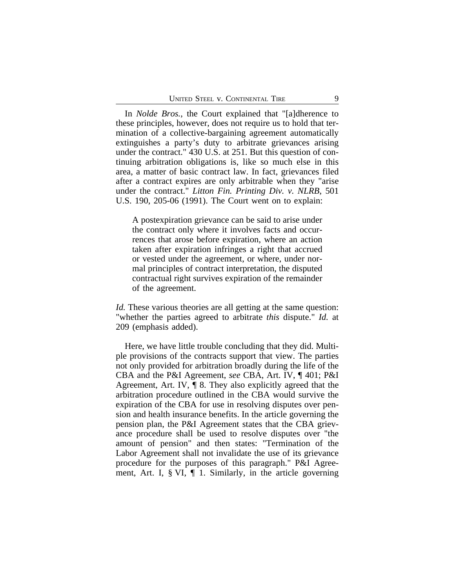In *Nolde Bros.*, the Court explained that "[a]dherence to these principles, however, does not require us to hold that termination of a collective-bargaining agreement automatically extinguishes a party's duty to arbitrate grievances arising under the contract." 430 U.S. at 251. But this question of continuing arbitration obligations is, like so much else in this area, a matter of basic contract law. In fact, grievances filed after a contract expires are only arbitrable when they "arise under the contract." *Litton Fin. Printing Div. v. NLRB*, 501 U.S. 190, 205-06 (1991). The Court went on to explain:

A postexpiration grievance can be said to arise under the contract only where it involves facts and occurrences that arose before expiration, where an action taken after expiration infringes a right that accrued or vested under the agreement, or where, under normal principles of contract interpretation, the disputed contractual right survives expiration of the remainder of the agreement.

*Id.* These various theories are all getting at the same question: "whether the parties agreed to arbitrate *this* dispute." *Id.* at 209 (emphasis added).

Here, we have little trouble concluding that they did. Multiple provisions of the contracts support that view. The parties not only provided for arbitration broadly during the life of the CBA and the P&I Agreement, *see* CBA, Art. IV, ¶ 401; P&I Agreement, Art. IV, ¶ 8. They also explicitly agreed that the arbitration procedure outlined in the CBA would survive the expiration of the CBA for use in resolving disputes over pension and health insurance benefits. In the article governing the pension plan, the P&I Agreement states that the CBA grievance procedure shall be used to resolve disputes over "the amount of pension" and then states: "Termination of the Labor Agreement shall not invalidate the use of its grievance procedure for the purposes of this paragraph." P&I Agreement, Art. I,  $\S$  VI,  $\P$  1. Similarly, in the article governing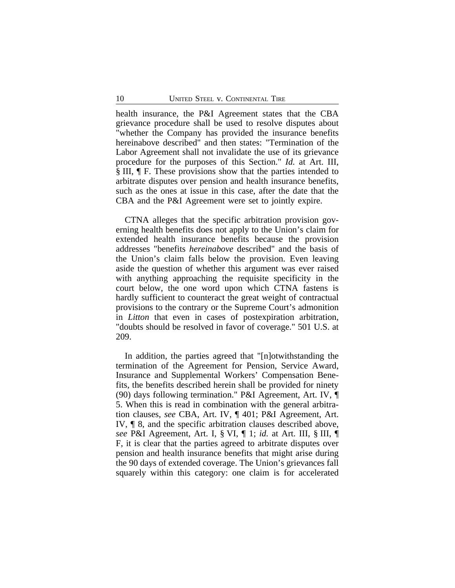health insurance, the P&I Agreement states that the CBA grievance procedure shall be used to resolve disputes about "whether the Company has provided the insurance benefits hereinabove described" and then states: "Termination of the Labor Agreement shall not invalidate the use of its grievance procedure for the purposes of this Section." *Id.* at Art. III, § III, ¶ F. These provisions show that the parties intended to arbitrate disputes over pension and health insurance benefits, such as the ones at issue in this case, after the date that the CBA and the P&I Agreement were set to jointly expire.

CTNA alleges that the specific arbitration provision governing health benefits does not apply to the Union's claim for extended health insurance benefits because the provision addresses "benefits *hereinabove* described" and the basis of the Union's claim falls below the provision. Even leaving aside the question of whether this argument was ever raised with anything approaching the requisite specificity in the court below, the one word upon which CTNA fastens is hardly sufficient to counteract the great weight of contractual provisions to the contrary or the Supreme Court's admonition in *Litton* that even in cases of postexpiration arbitration, "doubts should be resolved in favor of coverage." 501 U.S. at 209.

In addition, the parties agreed that "[n]otwithstanding the termination of the Agreement for Pension, Service Award, Insurance and Supplemental Workers' Compensation Benefits, the benefits described herein shall be provided for ninety (90) days following termination." P&I Agreement, Art. IV, ¶ 5. When this is read in combination with the general arbitration clauses, *see* CBA, Art. IV, ¶ 401; P&I Agreement, Art. IV, ¶ 8, and the specific arbitration clauses described above, *see* P&I Agreement, Art. I, § VI, ¶ 1; *id.* at Art. III, § III, ¶ F, it is clear that the parties agreed to arbitrate disputes over pension and health insurance benefits that might arise during the 90 days of extended coverage. The Union's grievances fall squarely within this category: one claim is for accelerated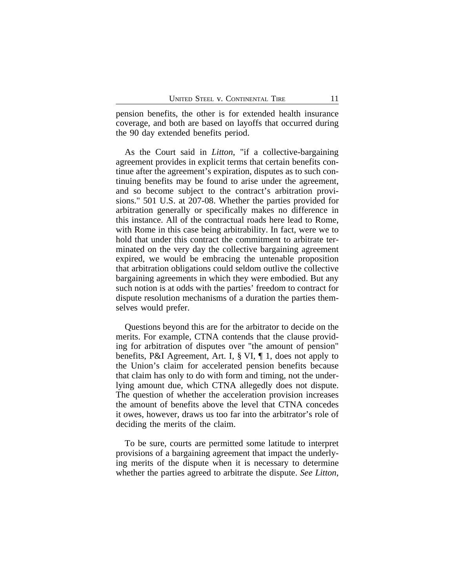pension benefits, the other is for extended health insurance coverage, and both are based on layoffs that occurred during the 90 day extended benefits period.

As the Court said in *Litton*, "if a collective-bargaining agreement provides in explicit terms that certain benefits continue after the agreement's expiration, disputes as to such continuing benefits may be found to arise under the agreement, and so become subject to the contract's arbitration provisions." 501 U.S. at 207-08. Whether the parties provided for arbitration generally or specifically makes no difference in this instance. All of the contractual roads here lead to Rome, with Rome in this case being arbitrability. In fact, were we to hold that under this contract the commitment to arbitrate terminated on the very day the collective bargaining agreement expired, we would be embracing the untenable proposition that arbitration obligations could seldom outlive the collective bargaining agreements in which they were embodied. But any such notion is at odds with the parties' freedom to contract for dispute resolution mechanisms of a duration the parties themselves would prefer.

Questions beyond this are for the arbitrator to decide on the merits. For example, CTNA contends that the clause providing for arbitration of disputes over "the amount of pension" benefits, P&I Agreement, Art. I, § VI, ¶ 1, does not apply to the Union's claim for accelerated pension benefits because that claim has only to do with form and timing, not the underlying amount due, which CTNA allegedly does not dispute. The question of whether the acceleration provision increases the amount of benefits above the level that CTNA concedes it owes, however, draws us too far into the arbitrator's role of deciding the merits of the claim.

To be sure, courts are permitted some latitude to interpret provisions of a bargaining agreement that impact the underlying merits of the dispute when it is necessary to determine whether the parties agreed to arbitrate the dispute. *See Litton*,